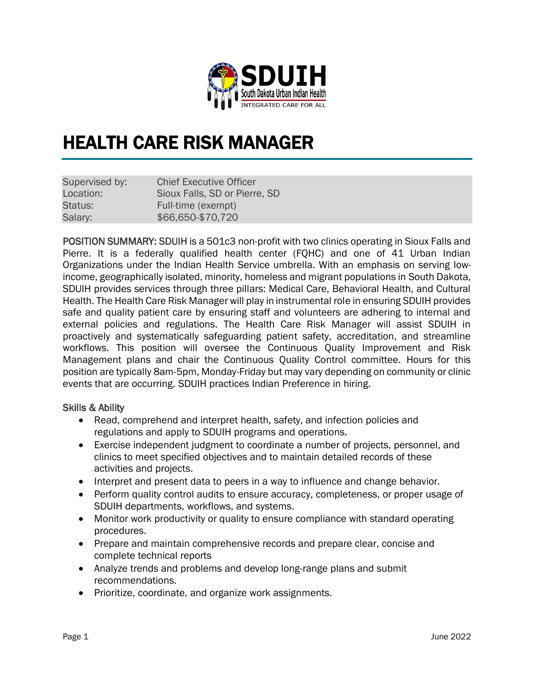

# HEALTH CARE RISK MANAGER

| Supervised by: | <b>Chief Executive Officer</b> |
|----------------|--------------------------------|
| Location:      | Sioux Falls, SD or Pierre, SD  |
| Status:        | Full-time (exempt)             |
| Salary:        | \$66,650-\$70,720              |

POSITION SUMMARY: SDUIH is a 501c3 non-profit with two clinics operating in Sioux Falls and Pierre. It is a federally qualified health center (FQHC) and one of 41 Urban Indian Organizations under the Indian Health Service umbrella. With an emphasis on serving lowincome, geographically isolated, minority, homeless and migrant populations in South Dakota, SDUIH provides services through three pillars: Medical Care, Behavioral Health, and Cultural Health. The Health Care Risk Manager will play in instrumental role in ensuring SDUIH provides safe and quality patient care by ensuring staff and volunteers are adhering to internal and external policies and regulations. The Health Care Risk Manager will assist SDUIH in proactively and systematically safeguarding patient safety, accreditation, and streamline workflows. This position will oversee the Continuous Quality Improvement and Risk Management plans and chair the Continuous Quality Control committee. Hours for this position are typically 8am-5pm, Monday-Friday but may vary depending on community or clinic events that are occurring. SDUIH practices Indian Preference in hiring.

## Skills & Ability

- Read, comprehend and interpret health, safety, and infection policies and regulations and apply to SDUIH programs and operations.
- Exercise independent judgment to coordinate a number of projects, personnel, and clinics to meet specified objectives and to maintain detailed records of these activities and projects.
- Interpret and present data to peers in a way to influence and change behavior.
- Perform quality control audits to ensure accuracy, completeness, or proper usage of SDUIH departments, workflows, and systems.
- Monitor work productivity or quality to ensure compliance with standard operating procedures.
- Prepare and maintain comprehensive records and prepare clear, concise and complete technical reports
- Analyze trends and problems and develop long-range plans and submit recommendations.
- Prioritize, coordinate, and organize work assignments.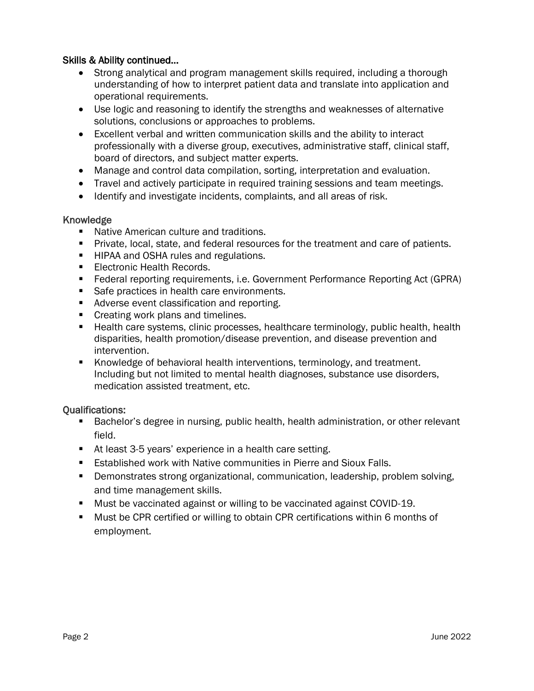## Skills & Ability continued…

- Strong analytical and program management skills required, including a thorough understanding of how to interpret patient data and translate into application and operational requirements.
- Use logic and reasoning to identify the strengths and weaknesses of alternative solutions, conclusions or approaches to problems.
- Excellent verbal and written communication skills and the ability to interact professionally with a diverse group, executives, administrative staff, clinical staff, board of directors, and subject matter experts.
- Manage and control data compilation, sorting, interpretation and evaluation.
- Travel and actively participate in required training sessions and team meetings.
- Identify and investigate incidents, complaints, and all areas of risk.

## Knowledge

- Native American culture and traditions.
- **•** Private, local, state, and federal resources for the treatment and care of patients.
- HIPAA and OSHA rules and regulations.
- Electronic Health Records.
- Federal reporting requirements, i.e. Government Performance Reporting Act (GPRA)
- Safe practices in health care environments.
- Adverse event classification and reporting.
- Creating work plans and timelines.
- Health care systems, clinic processes, healthcare terminology, public health, health disparities, health promotion/disease prevention, and disease prevention and intervention.
- Knowledge of behavioral health interventions, terminology, and treatment. Including but not limited to mental health diagnoses, substance use disorders, medication assisted treatment, etc.

## Qualifications:

- Bachelor's degree in nursing, public health, health administration, or other relevant field.
- At least 3-5 years' experience in a health care setting.
- Established work with Native communities in Pierre and Sioux Falls.
- **Demonstrates strong organizational, communication, leadership, problem solving,** and time management skills.
- Must be vaccinated against or willing to be vaccinated against COVID-19.
- Must be CPR certified or willing to obtain CPR certifications within 6 months of employment.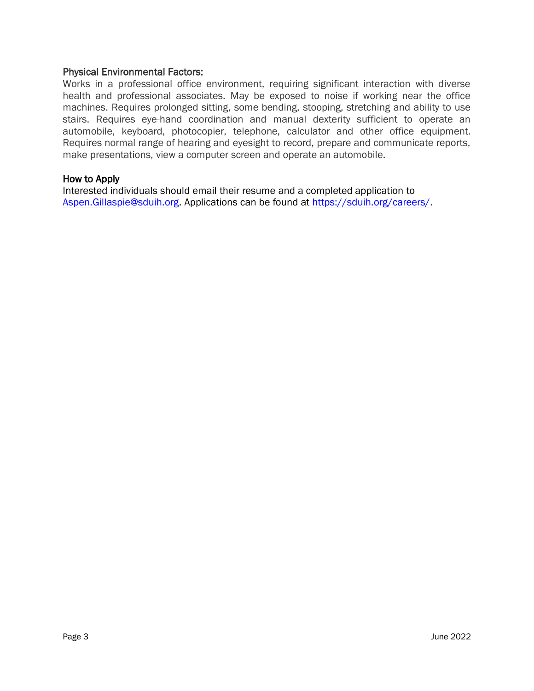#### Physical Environmental Factors:

Works in a professional office environment, requiring significant interaction with diverse health and professional associates. May be exposed to noise if working near the office machines. Requires prolonged sitting, some bending, stooping, stretching and ability to use stairs. Requires eye-hand coordination and manual dexterity sufficient to operate an automobile, keyboard, photocopier, telephone, calculator and other office equipment. Requires normal range of hearing and eyesight to record, prepare and communicate reports, make presentations, view a computer screen and operate an automobile.

#### How to Apply

Interested individuals should email their resume and a completed application to [Aspen.Gillaspie@sduih.org.](mailto:Aspen.Gillaspie@sduih.org) Applications can be found at [https://sduih.org/careers/.](https://sduih.org/careers/)